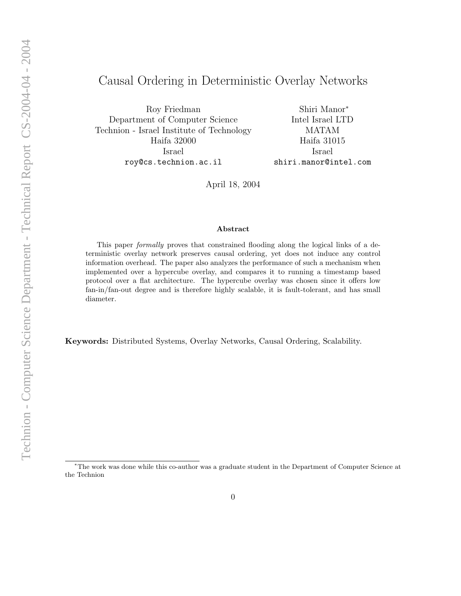# Causal Ordering in Deterministic Overlay Networks

Roy Friedman Department of Computer Science Technion - Israel Institute of Technology Haifa 32000 Israel roy@cs.technion.ac.il

Shiri Manor<sup>∗</sup> Intel Israel LTD MATAM Haifa 31015 Israel shiri.manor@intel.com

April 18, 2004

#### Abstract

This paper formally proves that constrained flooding along the logical links of a deterministic overlay network preserves causal ordering, yet does not induce any control information overhead. The paper also analyzes the performance of such a mechanism when implemented over a hypercube overlay, and compares it to running a timestamp based protocol over a flat architecture. The hypercube overlay was chosen since it offers low fan-in/fan-out degree and is therefore highly scalable, it is fault-tolerant, and has small diameter.

Keywords: Distributed Systems, Overlay Networks, Causal Ordering, Scalability.

<sup>∗</sup>The work was done while this co-author was a graduate student in the Department of Computer Science at the Technion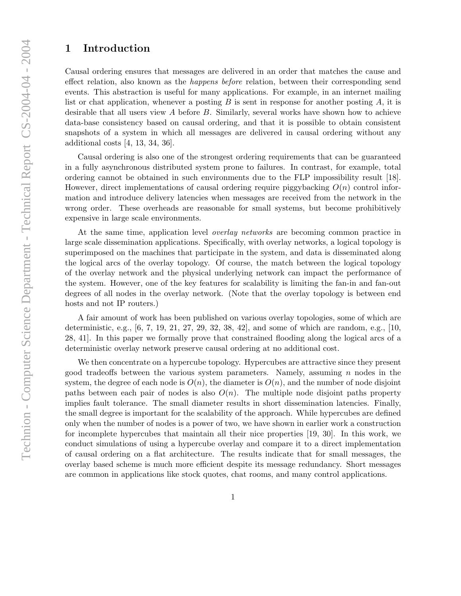# 1 Introduction

Causal ordering ensures that messages are delivered in an order that matches the cause and effect relation, also known as the happens before relation, between their corresponding send events. This abstraction is useful for many applications. For example, in an internet mailing list or chat application, whenever a posting  $B$  is sent in response for another posting  $A$ , it is desirable that all users view A before B. Similarly, several works have shown how to achieve data-base consistency based on causal ordering, and that it is possible to obtain consistent snapshots of a system in which all messages are delivered in causal ordering without any additional costs [4, 13, 34, 36].

Causal ordering is also one of the strongest ordering requirements that can be guaranteed in a fully asynchronous distributed system prone to failures. In contrast, for example, total ordering cannot be obtained in such environments due to the FLP impossibility result [18]. However, direct implementations of causal ordering require piggybacking  $O(n)$  control information and introduce delivery latencies when messages are received from the network in the wrong order. These overheads are reasonable for small systems, but become prohibitively expensive in large scale environments.

At the same time, application level *overlay networks* are becoming common practice in large scale dissemination applications. Specifically, with overlay networks, a logical topology is superimposed on the machines that participate in the system, and data is disseminated along the logical arcs of the overlay topology. Of course, the match between the logical topology of the overlay network and the physical underlying network can impact the performance of the system. However, one of the key features for scalability is limiting the fan-in and fan-out degrees of all nodes in the overlay network. (Note that the overlay topology is between end hosts and not IP routers.)

A fair amount of work has been published on various overlay topologies, some of which are deterministic, e.g., [6, 7, 19, 21, 27, 29, 32, 38, 42], and some of which are random, e.g., [10, 28, 41]. In this paper we formally prove that constrained flooding along the logical arcs of a deterministic overlay network preserve causal ordering at no additional cost.

We then concentrate on a hypercube topology. Hypercubes are attractive since they present good tradeoffs between the various system parameters. Namely, assuming  $n$  nodes in the system, the degree of each node is  $O(n)$ , the diameter is  $O(n)$ , and the number of node disjoint paths between each pair of nodes is also  $O(n)$ . The multiple node disjoint paths property implies fault tolerance. The small diameter results in short dissemination latencies. Finally, the small degree is important for the scalability of the approach. While hypercubes are defined only when the number of nodes is a power of two, we have shown in earlier work a construction for incomplete hypercubes that maintain all their nice properties [19, 30]. In this work, we conduct simulations of using a hypercube overlay and compare it to a direct implementation of causal ordering on a flat architecture. The results indicate that for small messages, the overlay based scheme is much more efficient despite its message redundancy. Short messages are common in applications like stock quotes, chat rooms, and many control applications.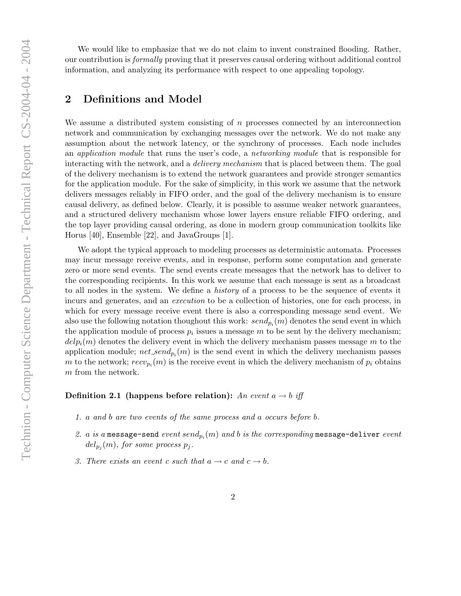We would like to emphasize that we do not claim to invent constrained flooding. Rather, our contribution is formally proving that it preserves causal ordering without additional control information, and analyzing its performance with respect to one appealing topology.

# 2 Definitions and Model

We assume a distributed system consisting of  $n$  processes connected by an interconnection network and communication by exchanging messages over the network. We do not make any assumption about the network latency, or the synchrony of processes. Each node includes an application module that runs the user's code, a networking module that is responsible for interacting with the network, and a *delivery mechanism* that is placed between them. The goal of the delivery mechanism is to extend the network guarantees and provide stronger semantics for the application module. For the sake of simplicity, in this work we assume that the network delivers messages reliably in FIFO order, and the goal of the delivery mechanism is to ensure causal delivery, as defined below. Clearly, it is possible to assume weaker network guarantees, and a structured delivery mechanism whose lower layers ensure reliable FIFO ordering, and the top layer providing causal ordering, as done in modern group communication toolkits like Horus [40], Ensemble [22], and JavaGroups [1].

We adopt the typical approach to modeling processes as deterministic automata. Processes may incur message receive events, and in response, perform some computation and generate zero or more send events. The send events create messages that the network has to deliver to the corresponding recipients. In this work we assume that each message is sent as a broadcast to all nodes in the system. We define a history of a process to be the sequence of events it incurs and generates, and an execution to be a collection of histories, one for each process, in which for every message receive event there is also a corresponding message send event. We also use the following notation thoughout this work:  $send_{p_i}(m)$  denotes the send event in which the application module of process  $p_i$  issues a message m to be sent by the delivery mechanism;  $delp_i(m)$  denotes the delivery event in which the delivery mechanism passes message m to the application module;  $net\_send_{p_i}(m)$  is the send event in which the delivery mechanism passes m to the network;  $recv_{p_i}(m)$  is the receive event in which the delivery mechanism of  $p_i$  obtains m from the network.

#### Definition 2.1 (happens before relation): An event  $a \rightarrow b$  iff

- 1. a and b are two events of the same process and a occurs before b.
- 2.  $a$  is a message-send  $\mathit{event send}_{p_i}(m)$  and  $b$  is the corresponding message-deliver  $\mathit{event}$  $del_{p_j}(m),$  for some process  $p_j.$
- 3. There exists an event c such that  $a \rightarrow c$  and  $c \rightarrow b$ .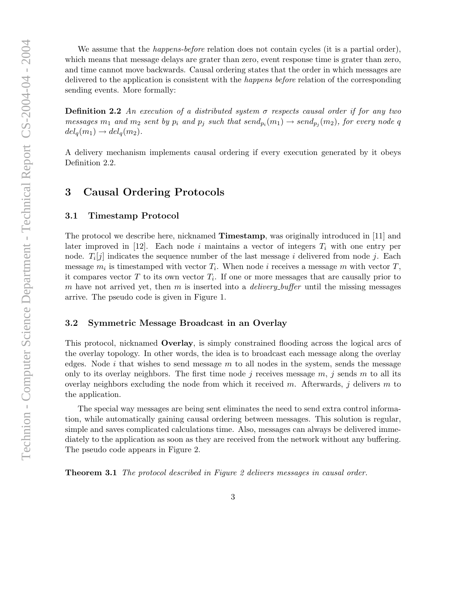We assume that the *happens-before* relation does not contain cycles (it is a partial order), which means that message delays are grater than zero, event response time is grater than zero, and time cannot move backwards. Causal ordering states that the order in which messages are delivered to the application is consistent with the happens before relation of the corresponding sending events. More formally: **Definition 2.2** An execution of a distributed system  $\sigma$  respects causal order if for any two messages  $m_1$  and  $m_2$  sent by  $p_i$  and  $p_j$  such that  $send_{p_i}(m_1) \rightarrow send_{p_j}(m_2)$ , for every node  $q$  $del_q(m_1) \rightarrow del_q(m_2).$ 

A delivery mechanism implements causal ordering if every execution generated by it obeys Definition 2.2.

# 3 Causal Ordering Protocols

#### 3.1 Timestamp Protocol

The protocol we describe here, nicknamed Timestamp, was originally introduced in [11] and later improved in [12]. Each node i maintains a vector of integers  $T_i$  with one entry per node.  $T_i[j]$  indicates the sequence number of the last message i delivered from node j. Each message  $m_i$  is timestamped with vector  $T_i$ . When node i receives a message m with vector  $T$ , it compares vector  $T$  to its own vector  $T_i$ . If one or more messages that are causally prior to m have not arrived yet, then m is inserted into a *delivery buffer* until the missing messages arrive. The pseudo code is given in Figure 1.

#### 3.2 Symmetric Message Broadcast in an Overlay

This protocol, nicknamed Overlay, is simply constrained flooding across the logical arcs of the overlay topology. In other words, the idea is to broadcast each message along the overlay edges. Node i that wishes to send message  $m$  to all nodes in the system, sends the message only to its overlay neighbors. The first time node j receives message  $m$ , j sends  $m$  to all its overlay neighbors excluding the node from which it received m. Afterwards,  $j$  delivers m to the application.

The special way messages are being sent eliminates the need to send extra control information, while automatically gaining causal ordering between messages. This solution is regular, simple and saves complicated calculations time. Also, messages can always be delivered immediately to the application as soon as they are received from the network without any buffering. The pseudo code appears in Figure 2.

Theorem 3.1 The protocol described in Figure 2 delivers messages in causal order.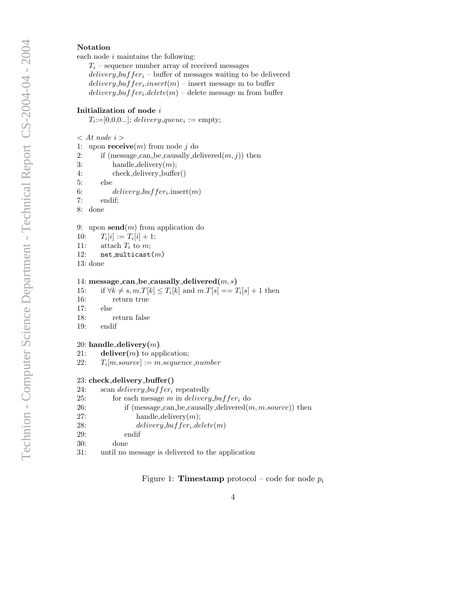#### Notation

each node  $i$  maintains the following:  $\;$ 

 $T_i$  – sequence number array of received messages  $delivery_buffer_i - \text{buffer of messages waiting to be delivered}$  $\textit{delivery\_buffer}_i.insert(m) - \text{insert message m to buffer}$  $\textit{delivery\_buffer}_i.\textit{delete}(m)$  – delete message m from buffer

#### Initialization of node  $i$

 $T_i = [0, 0, 0, \ldots];$  delivery queue<sub>i</sub> := empty;

 $\langle$  At node i  $\rangle$ 

- 1: upon  $\mathbf{receive}(m)$  from node j do
- 2: if (message can be causally delivered $(m, j)$ ) then
- 3: handle\_delivery $(m)$ ;
- 4: check delivery buffer()
- 5: else
- 6: delivery\_buffer<sub>i</sub>.insert $(m)$
- 7: endif;
- 8: done

9: upon  $\mathbf{send}(m)$  from application do

- $10:$  $[i] := T_i[i] + 1;$ 11: attach  $T_i$  to  $m$ ; 12:  $net\_multicast(m)$
- 13: done

#### 14: message\_can\_be\_causally\_delivered $(m, s)$

- 15: if  $\forall k \neq s, m.T[k] \leq T_i[k]$  and  $m.T[s] == T_i[s] + 1$  then
- 16: return true
- 17: else
- 18: return false
- 19: endif

#### 20: handle\_delivery $(m)$

- 21: deliver $(m)$  to application;
- $22:$  $T_i[m-source] := m \nsequence_number$

#### 23: check delivery buffer()

24: scan *delivery* buffer<sub>i</sub> repeatedly

| 25: | for each mesage m in delivery buffer, do                             |
|-----|----------------------------------------------------------------------|
| 26: | if (message can be causally delivered $(m, m \text{.source})$ ) then |
| 27: | handle_delivery $(m)$ ;                                              |
| 28: | $delively_buffer_i.delete(m)$                                        |
| 29: | endif                                                                |
| 30: | done                                                                 |
| 31: | until no message is delivered to the application                     |

#### Figure 1: **Timestamp** protocol – code for node  $p_i$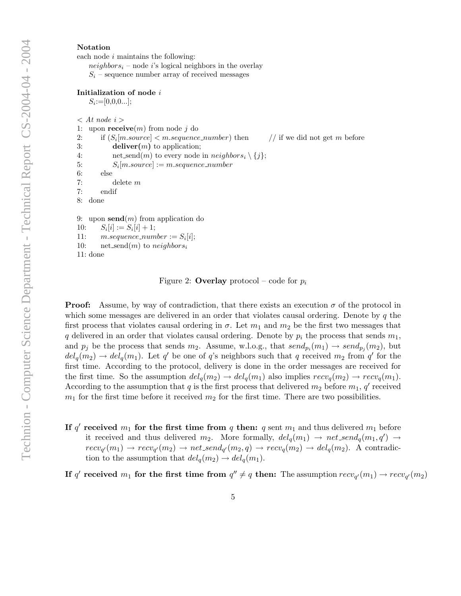#### Notation

each node  $i$  maintains the following:

 $neighbors<sub>i</sub>$  – node i's logical neighbors in the overlay  $S_i$  – sequence number array of received messages

#### Initialization of node i

 $S_i := [0,0,0...]$ ;

 $\langle$  At node i  $\rangle$ 

```
1: upon \mathbf{receive}(m) from node j do
```
2: if  $(S_i[m.source] < m.squence_number)$  then // if we did not get m before 3: deliver $(m)$  to application;

```
4: net_send(m) to every node in neighbors_i \setminus \{j\};
```

```
5: S_i[m-source] := m \textit{sequence_number}
```
6: else 7: delete m

7: endif

8: done

9: upon  $\mathbf{send}(m)$  from application do

 $10:$  $[i] := S_i[i] + 1;$ 

```
11: m.\nsequence_number := S_i[i];
```
10: net\_send $(m)$  to neighbors<sub>i</sub>

```
11: done
```
Figure 2: **Overlay** protocol – code for  $p_i$ 

**Proof:** Assume, by way of contradiction, that there exists an execution  $\sigma$  of the protocol in which some messages are delivered in an order that violates causal ordering. Denote by  $q$  the first process that violates causal ordering in  $\sigma$ . Let  $m_1$  and  $m_2$  be the first two messages that q delivered in an order that violates causal ordering. Denote by  $p_i$  the process that sends  $m_1$ , and  $p_j$  be the process that sends  $m_2$ . Assume, w.l.o.g., that  $send_{p_i}(m_1) \rightarrow send_{p_j}(m_2)$ , but  $del_q(m_2) \rightarrow del_q(m_1)$ . Let q' be one of q's neighbors such that q received  $m_2$  from q' for the first time. According to the protocol, delivery is done in the order messages are received for the first time. So the assumption  $del_q(m_2) \rightarrow del_q(m_1)$  also implies  $recv_q(m_2) \rightarrow recv_q(m_1)$ . According to the assumption that q is the first process that delivered  $m_2$  before  $m_1$ , q' received  $m_1$  for the first time before it received  $m_2$  for the first time. There are two possibilities.

If q' received  $m_1$  for the first time from q then: q sent  $m_1$  and thus delivered  $m_1$  before it received and thus delivered  $m_2$ . More formally,  $del_q(m_1) \rightarrow net\_send_q(m_1, q') \rightarrow$  $recv_{q'}(m_1) \rightarrow recv_{q'}(m_2) \rightarrow net\_send_{q'}(m_2,q) \rightarrow recv_q(m_2) \rightarrow del_q(m_2).$  A contradiction to the assumption that  $del_q(m_2) \rightarrow del_q(m_1)$ .

If q' received  $m_1$  for the first time from  $q'' \neq q$  then: The assumption  $recv_{q'}(m_1) \rightarrow recv_{q'}(m_2)$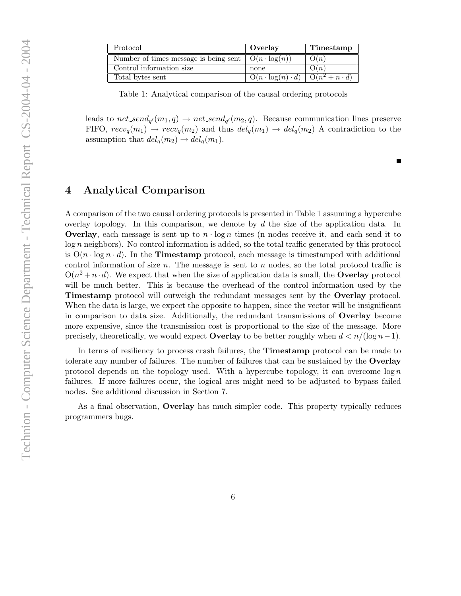| Protocol                                                              | Overlay                                           | Timestamp |
|-----------------------------------------------------------------------|---------------------------------------------------|-----------|
| Number of times message is being sent $\mid O(n \cdot log(n))\rangle$ |                                                   | O(n)      |
| Control information size                                              | none                                              | O(n)      |
| Total bytes sent                                                      | $O(n \cdot \log(n) \cdot d)$ $O(n^2 + n \cdot d)$ |           |

Table 1: Analytical comparison of the causal ordering protocols

leads to net\_send<sub>q'</sub> $(m_1, q) \rightarrow net\_send_{q'}(m_2, q)$ . Because communication lines preserve FIFO,  $recv_q(m_1) \rightarrow recv_q(m_2)$  and thus  $del_q(m_1) \rightarrow del_q(m_2)$  A contradiction to the assumption that  $del_q(m_2) \rightarrow del_q(m_1)$ .

# 4 Analytical Comparison

A comparison of the two causal ordering protocols is presented in Table 1 assuming a hypercube overlay topology. In this comparison, we denote by  $d$  the size of the application data. In **Overlay**, each message is sent up to  $n \cdot \log n$  times (n nodes receive it, and each send it to log n neighbors). No control information is added, so the total traffic generated by this protocol is  $O(n \cdot \log n \cdot d)$ . In the **Timestamp** protocol, each message is timestamped with additional control information of size  $n$ . The message is sent to  $n$  nodes, so the total protocol traffic is  $O(n^2 + n \cdot d)$ . We expect that when the size of application data is small, the **Overlay** protocol will be much better. This is because the overhead of the control information used by the Timestamp protocol will outweigh the redundant messages sent by the Overlay protocol. When the data is large, we expect the opposite to happen, since the vector will be insignificant in comparison to data size. Additionally, the redundant transmissions of Overlay become more expensive, since the transmission cost is proportional to the size of the message. More precisely, theoretically, we would expect **Overlay** to be better roughly when  $d < n/(\log n - 1)$ .

In terms of resiliency to process crash failures, the **Timestamp** protocol can be made to tolerate any number of failures. The number of failures that can be sustained by the Overlay protocol depends on the topology used. With a hypercube topology, it can overcome  $\log n$ failures. If more failures occur, the logical arcs might need to be adjusted to bypass failed nodes. See additional discussion in Section 7.

As a final observation, Overlay has much simpler code. This property typically reduces programmers bugs.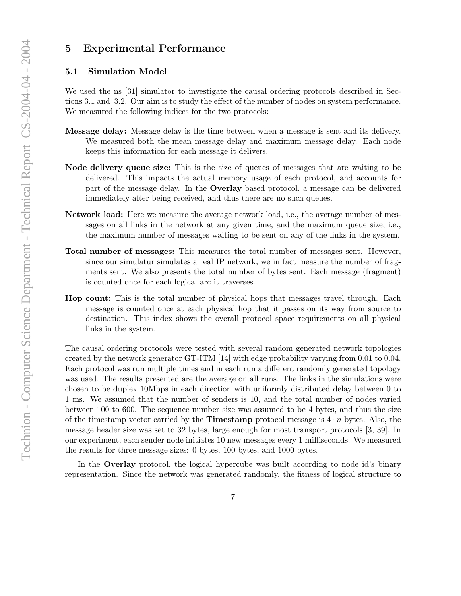# 5 Experimental Performance

### 5.1 Simulation Model

We used the ns [31] simulator to investigate the causal ordering protocols described in Sections 3.1 and 3.2. Our aim is to study the effect of the number of nodes on system performance. We measured the following indices for the two protocols:

- Message delay: Message delay is the time between when a message is sent and its delivery. We measured both the mean message delay and maximum message delay. Each node keeps this information for each message it delivers.
- Node delivery queue size: This is the size of queues of messages that are waiting to be delivered. This impacts the actual memory usage of each protocol, and accounts for part of the message delay. In the Overlay based protocol, a message can be delivered immediately after being received, and thus there are no such queues.
- Network load: Here we measure the average network load, i.e., the average number of messages on all links in the network at any given time, and the maximum queue size, i.e., the maximum number of messages waiting to be sent on any of the links in the system.
- Total number of messages: This measures the total number of messages sent. However, since our simulatur simulates a real IP network, we in fact measure the number of fragments sent. We also presents the total number of bytes sent. Each message (fragment) is counted once for each logical arc it traverses.
- Hop count: This is the total number of physical hops that messages travel through. Each message is counted once at each physical hop that it passes on its way from source to destination. This index shows the overall protocol space requirements on all physical links in the system.

The causal ordering protocols were tested with several random generated network topologies created by the network generator GT-ITM [14] with edge probability varying from 0.01 to 0.04. Each protocol was run multiple times and in each run a different randomly generated topology was used. The results presented are the average on all runs. The links in the simulations were chosen to be duplex 10Mbps in each direction with uniformly distributed delay between 0 to 1 ms. We assumed that the number of senders is 10, and the total number of nodes varied between 100 to 600. The sequence number size was assumed to be 4 bytes, and thus the size of the timestamp vector carried by the **Timestamp** protocol message is  $4 \cdot n$  bytes. Also, the message header size was set to 32 bytes, large enough for most transport protocols [3, 39]. In our experiment, each sender node initiates 10 new messages every 1 milliseconds. We measured the results for three message sizes: 0 bytes, 100 bytes, and 1000 bytes.

In the **Overlay** protocol, the logical hypercube was built according to node id's binary representation. Since the network was generated randomly, the fitness of logical structure to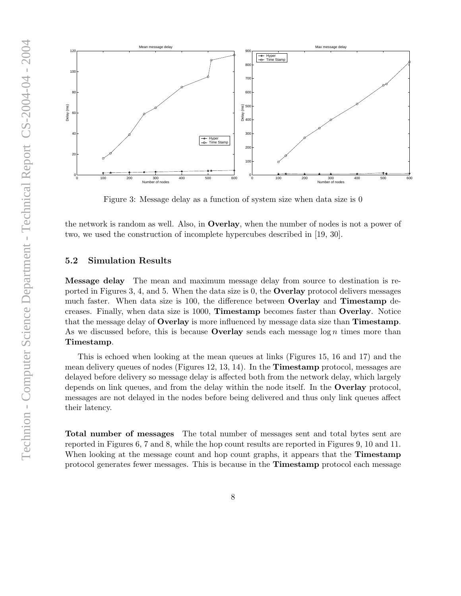

Figure 3: Message delay as a function of system size when data size is 0

the network is random as well. Also, in Overlay, when the number of nodes is not a power of two, we used the construction of incomplete hypercubes described in [19, 30].

### 5.2 Simulation Results

Message delay The mean and maximum message delay from source to destination is reported in Figures 3, 4, and 5. When the data size is 0, the Overlay protocol delivers messages much faster. When data size is 100, the difference between Overlay and Timestamp decreases. Finally, when data size is 1000, Timestamp becomes faster than Overlay. Notice that the message delay of Overlay is more influenced by message data size than Timestamp. As we discussed before, this is because **Overlay** sends each message  $\log n$  times more than Timestamp.

This is echoed when looking at the mean queues at links (Figures 15, 16 and 17) and the mean delivery queues of nodes (Figures 12, 13, 14). In the Timestamp protocol, messages are delayed before delivery so message delay is affected both from the network delay, which largely depends on link queues, and from the delay within the node itself. In the Overlay protocol, messages are not delayed in the nodes before being delivered and thus only link queues affect their latency.

Total number of messages The total number of messages sent and total bytes sent are reported in Figures 6, 7 and 8, while the hop count results are reported in Figures 9, 10 and 11. When looking at the message count and hop count graphs, it appears that the **Timestamp** protocol generates fewer messages. This is because in the Timestamp protocol each message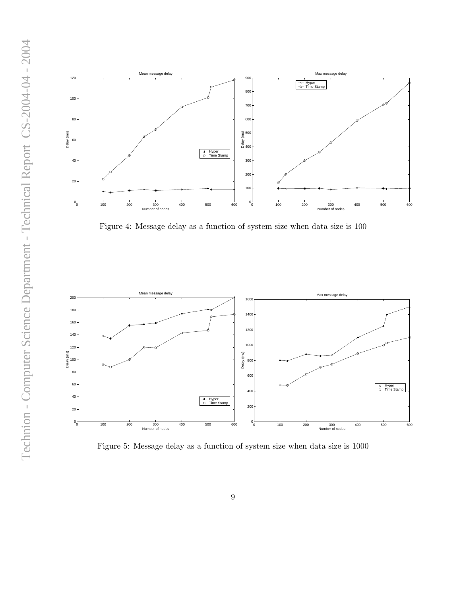

Figure 4: Message delay as a function of system size when data size is 100



Figure 5: Message delay as a function of system size when data size is 1000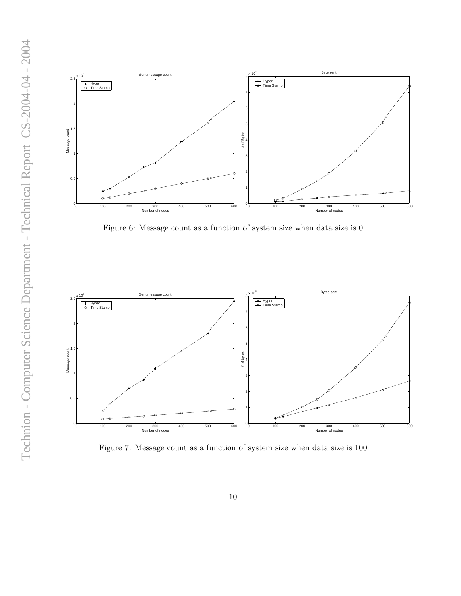



Figure 6: Message count as a function of system size when data size is 0



Figure 7: Message count as a function of system size when data size is 100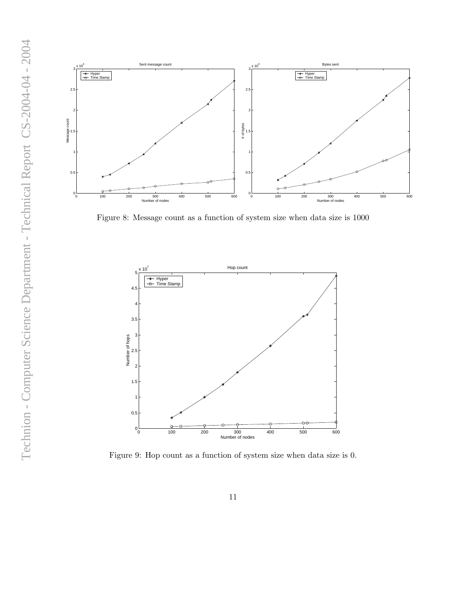

Figure 8: Message count as a function of system size when data size is 1000



Figure 9: Hop count as a function of system size when data size is 0.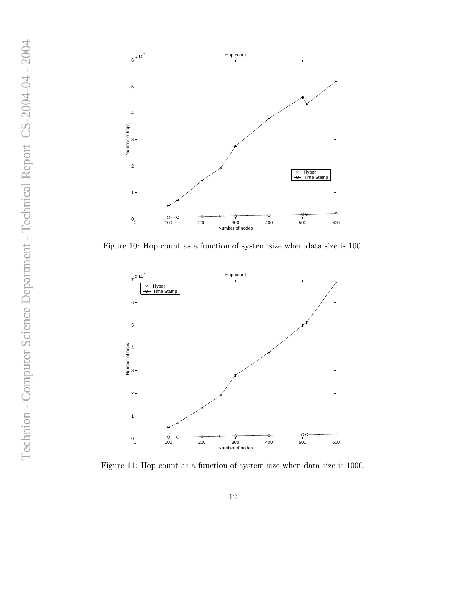

Figure 10: Hop count as a function of system size when data size is 100.



Figure 11: Hop count as a function of system size when data size is 1000.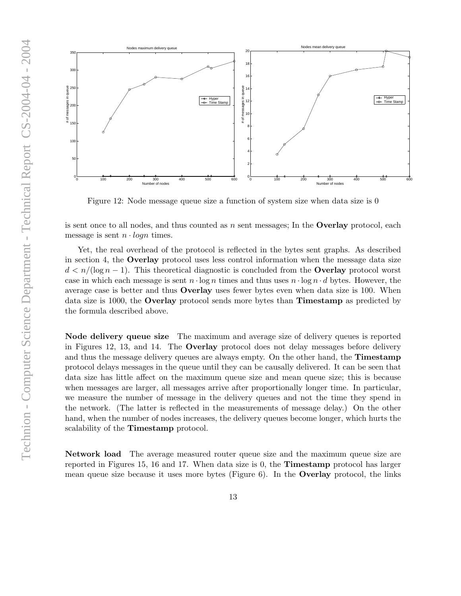

Figure 12: Node message queue size a function of system size when data size is 0

is sent once to all nodes, and thus counted as  $n$  sent messages; In the **Overlay** protocol, each message is sent  $n \cdot logn$  times.

Yet, the real overhead of the protocol is reflected in the bytes sent graphs. As described in section 4, the Overlay protocol uses less control information when the message data size  $d < n/(\log n - 1)$ . This theoretical diagnostic is concluded from the **Overlay** protocol worst case in which each message is sent  $n \cdot \log n$  times and thus uses  $n \cdot \log n \cdot d$  bytes. However, the average case is better and thus Overlay uses fewer bytes even when data size is 100. When data size is 1000, the Overlay protocol sends more bytes than Timestamp as predicted by the formula described above.

Node delivery queue size The maximum and average size of delivery queues is reported in Figures 12, 13, and 14. The Overlay protocol does not delay messages before delivery and thus the message delivery queues are always empty. On the other hand, the **Timestamp** protocol delays messages in the queue until they can be causally delivered. It can be seen that data size has little affect on the maximum queue size and mean queue size; this is because when messages are larger, all messages arrive after proportionally longer time. In particular, we measure the number of message in the delivery queues and not the time they spend in the network. (The latter is reflected in the measurements of message delay.) On the other hand, when the number of nodes increases, the delivery queues become longer, which hurts the scalability of the Timestamp protocol.

Network load The average measured router queue size and the maximum queue size are reported in Figures 15, 16 and 17. When data size is 0, the Timestamp protocol has larger mean queue size because it uses more bytes (Figure 6). In the Overlay protocol, the links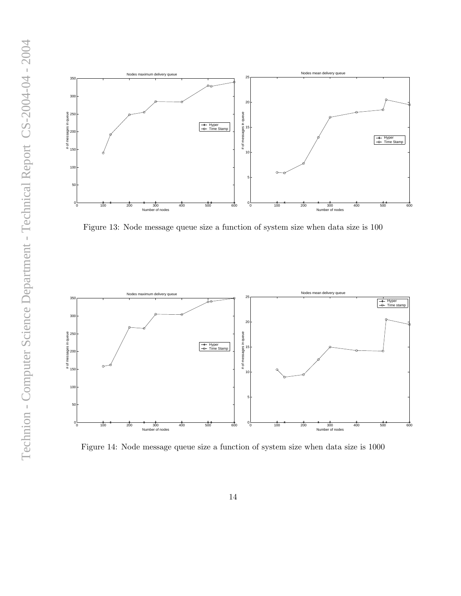

Figure 13: Node message queue size a function of system size when data size is 100



Figure 14: Node message queue size a function of system size when data size is 1000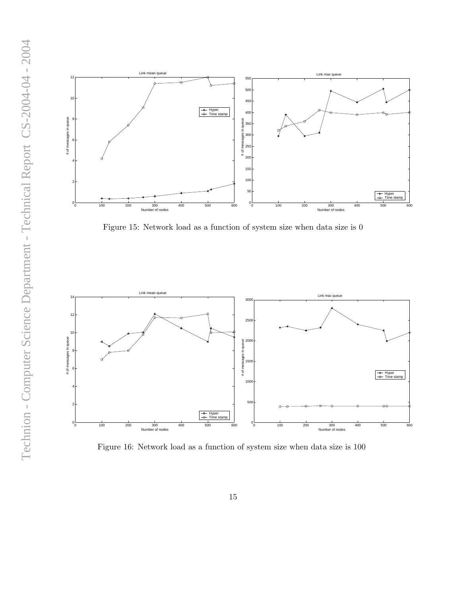

Figure 15: Network load as a function of system size when data size is 0



Figure 16: Network load as a function of system size when data size is 100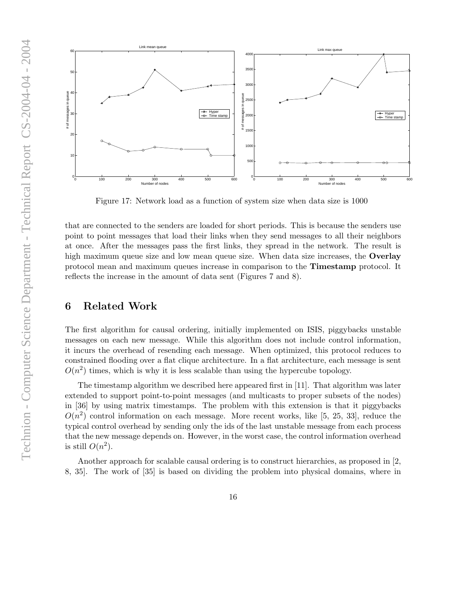

Figure 17: Network load as a function of system size when data size is 1000

that are connected to the senders are loaded for short periods. This is because the senders use point to point messages that load their links when they send messages to all their neighbors at once. After the messages pass the first links, they spread in the network. The result is high maximum queue size and low mean queue size. When data size increases, the **Overlay** protocol mean and maximum queues increase in comparison to the Timestamp protocol. It reflects the increase in the amount of data sent (Figures 7 and 8).

## 6 Related Work

The first algorithm for causal ordering, initially implemented on ISIS, piggybacks unstable messages on each new message. While this algorithm does not include control information, it incurs the overhead of resending each message. When optimized, this protocol reduces to constrained flooding over a flat clique architecture. In a flat architecture, each message is sent  $O(n^2)$  times, which is why it is less scalable than using the hypercube topology.

The timestamp algorithm we described here appeared first in [11]. That algorithm was later extended to support point-to-point messages (and multicasts to proper subsets of the nodes) in [36] by using matrix timestamps. The problem with this extension is that it piggybacks  $O(n^2)$  control information on each message. More recent works, like [5, 25, 33], reduce the typical control overhead by sending only the ids of the last unstable message from each process that the new message depends on. However, in the worst case, the control information overhead is still  $O(n^2)$ .

Another approach for scalable causal ordering is to construct hierarchies, as proposed in [2, 8, 35]. The work of [35] is based on dividing the problem into physical domains, where in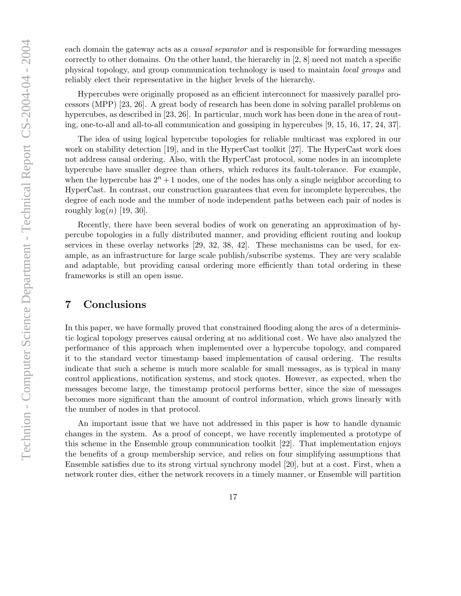each domain the gateway acts as a causal separator and is responsible for forwarding messages correctly to other domains. On the other hand, the hierarchy in  $[2, 8]$  need not match a specific physical topology, and group communication technology is used to maintain local groups and reliably elect their representative in the higher levels of the hierarchy.

Hypercubes were originally proposed as an efficient interconnect for massively parallel processors (MPP) [23, 26]. A great body of research has been done in solving parallel problems on hypercubes, as described in [23, 26]. In particular, much work has been done in the area of routing, one-to-all and all-to-all communication and gossiping in hypercubes [9, 15, 16, 17, 24, 37].

The idea of using logical hypercube topologies for reliable multicast was explored in our work on stability detection [19], and in the HyperCast toolkit [27]. The HyperCast work does not address causal ordering. Also, with the HyperCast protocol, some nodes in an incomplete hypercube have smaller degree than others, which reduces its fault-tolerance. For example, when the hypercube has  $2^n + 1$  nodes, one of the nodes has only a single neighbor according to HyperCast. In contrast, our construction guarantees that even for incomplete hypercubes, the degree of each node and the number of node independent paths between each pair of nodes is roughly  $log(n)$  [19, 30].

Recently, there have been several bodies of work on generating an approximation of hypercube topologies in a fully distributed manner, and providing efficient routing and lookup services in these overlay networks [29, 32, 38, 42]. These mechanisms can be used, for example, as an infrastructure for large scale publish/subscribe systems. They are very scalable and adaptable, but providing causal ordering more efficiently than total ordering in these frameworks is still an open issue.

# 7 Conclusions

In this paper, we have formally proved that constrained flooding along the arcs of a deterministic logical topology preserves causal ordering at no additional cost. We have also analyzed the performance of this approach when implemented over a hypercube topology, and compared it to the standard vector timestamp based implementation of causal ordering. The results indicate that such a scheme is much more scalable for small messages, as is typical in many control applications, notification systems, and stock quotes. However, as expected, when the messages become large, the timestamp protocol performs better, since the size of messages becomes more significant than the amount of control information, which grows linearly with the number of nodes in that protocol.

An important issue that we have not addressed in this paper is how to handle dynamic changes in the system. As a proof of concept, we have recently implemented a prototype of this scheme in the Ensemble group communication toolkit [22]. That implementation enjoys the benefits of a group membership service, and relies on four simplifying assumptions that Ensemble satisfies due to its strong virtual synchrony model [20], but at a cost. First, when a network router dies, either the network recovers in a timely manner, or Ensemble will partition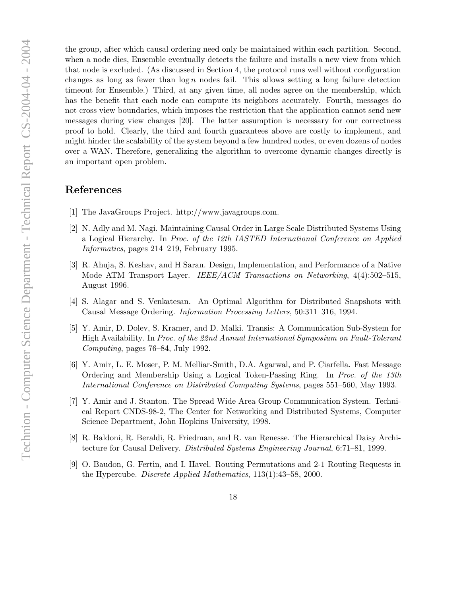the group, after which causal ordering need only be maintained within each partition. Second, when a node dies, Ensemble eventually detects the failure and installs a new view from which that node is excluded. (As discussed in Section 4, the protocol runs well without configuration changes as long as fewer than  $\log n$  nodes fail. This allows setting a long failure detection timeout for Ensemble.) Third, at any given time, all nodes agree on the membership, which has the benefit that each node can compute its neighbors accurately. Fourth, messages do not cross view boundaries, which imposes the restriction that the application cannot send new messages during view changes [20]. The latter assumption is necessary for our correctness proof to hold. Clearly, the third and fourth guarantees above are costly to implement, and might hinder the scalability of the system beyond a few hundred nodes, or even dozens of nodes over a WAN. Therefore, generalizing the algorithm to overcome dynamic changes directly is an important open problem.

# References

- [1] The JavaGroups Project. http://www.javagroups.com.
- [2] N. Adly and M. Nagi. Maintaining Causal Order in Large Scale Distributed Systems Using a Logical Hierarchy. In Proc. of the 12th IASTED International Conference on Applied Informatics, pages 214–219, February 1995.
- [3] R. Ahuja, S. Keshav, and H Saran. Design, Implementation, and Performance of a Native Mode ATM Transport Layer. IEEE/ACM Transactions on Networking, 4(4):502–515, August 1996.
- [4] S. Alagar and S. Venkatesan. An Optimal Algorithm for Distributed Snapshots with Causal Message Ordering. Information Processing Letters, 50:311–316, 1994.
- [5] Y. Amir, D. Dolev, S. Kramer, and D. Malki. Transis: A Communication Sub-System for High Availability. In Proc. of the 22nd Annual International Symposium on Fault-Tolerant Computing, pages 76–84, July 1992.
- [6] Y. Amir, L. E. Moser, P. M. Melliar-Smith, D.A. Agarwal, and P. Ciarfella. Fast Message Ordering and Membership Using a Logical Token-Passing Ring. In Proc. of the 13th International Conference on Distributed Computing Systems, pages 551–560, May 1993.
- [7] Y. Amir and J. Stanton. The Spread Wide Area Group Communication System. Technical Report CNDS-98-2, The Center for Networking and Distributed Systems, Computer Science Department, John Hopkins University, 1998.
- [8] R. Baldoni, R. Beraldi, R. Friedman, and R. van Renesse. The Hierarchical Daisy Architecture for Causal Delivery. Distributed Systems Engineering Journal, 6:71–81, 1999.
- [9] O. Baudon, G. Fertin, and I. Havel. Routing Permutations and 2-1 Routing Requests in the Hypercube. Discrete Applied Mathematics, 113(1):43–58, 2000.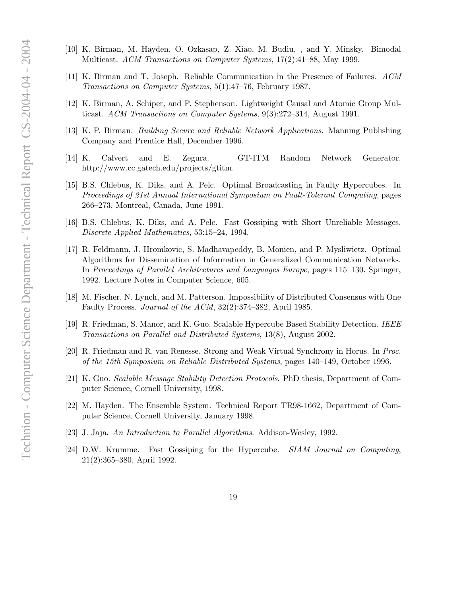- Technion Computer Science Department Technical Report CS-2004-04 2004 Technion - Computer Science Department - Technical Report CS-2004-04 - 2004
- [10] K. Birman, M. Hayden, O. Ozkasap, Z. Xiao, M. Budiu, , and Y. Minsky. Bimodal Multicast. ACM Transactions on Computer Systems, 17(2):41–88, May 1999.
- [11] K. Birman and T. Joseph. Reliable Communication in the Presence of Failures. ACM Transactions on Computer Systems, 5(1):47–76, February 1987.
- [12] K. Birman, A. Schiper, and P. Stephenson. Lightweight Causal and Atomic Group Multicast. ACM Transactions on Computer Systems, 9(3):272–314, August 1991.
- [13] K. P. Birman. Building Secure and Reliable Network Applications. Manning Publishing Company and Prentice Hall, December 1996.
- [14] K. Calvert and E. Zegura. GT-ITM Random Network Generator. http://www.cc.gatech.edu/projects/gtitm.
- [15] B.S. Chlebus, K. Diks, and A. Pelc. Optimal Broadcasting in Faulty Hypercubes. In Proceedings of 21st Annual International Symposium on Fault-Tolerant Computing, pages 266–273, Montreal, Canada, June 1991.
- [16] B.S. Chlebus, K. Diks, and A. Pelc. Fast Gossiping with Short Unreliable Messages. Discrete Applied Mathematics, 53:15–24, 1994.
- [17] R. Feldmann, J. Hromkovic, S. Madhavapeddy, B. Monien, and P. Mysliwietz. Optimal Algorithms for Dissemination of Information in Generalized Communication Networks. In Proceedings of Parallel Architectures and Languages Europe, pages 115–130. Springer, 1992. Lecture Notes in Computer Science, 605.
- [18] M. Fischer, N. Lynch, and M. Patterson. Impossibility of Distributed Consensus with One Faulty Process. Journal of the ACM, 32(2):374–382, April 1985.
- [19] R. Friedman, S. Manor, and K. Guo. Scalable Hypercube Based Stability Detection. IEEE Transactions on Parallel and Distributed Systems, 13(8), August 2002.
- [20] R. Friedman and R. van Renesse. Strong and Weak Virtual Synchrony in Horus. In Proc. of the 15th Symposium on Reliable Distributed Systems, pages 140–149, October 1996.
- [21] K. Guo. Scalable Message Stability Detection Protocols. PhD thesis, Department of Computer Science, Cornell University, 1998.
- [22] M. Hayden. The Ensemble System. Technical Report TR98-1662, Department of Computer Science, Cornell University, January 1998.
- [23] J. Jaja. An Introduction to Parallel Algorithms. Addison-Wesley, 1992.
- [24] D.W. Krumme. Fast Gossiping for the Hypercube. SIAM Journal on Computing, 21(2):365–380, April 1992.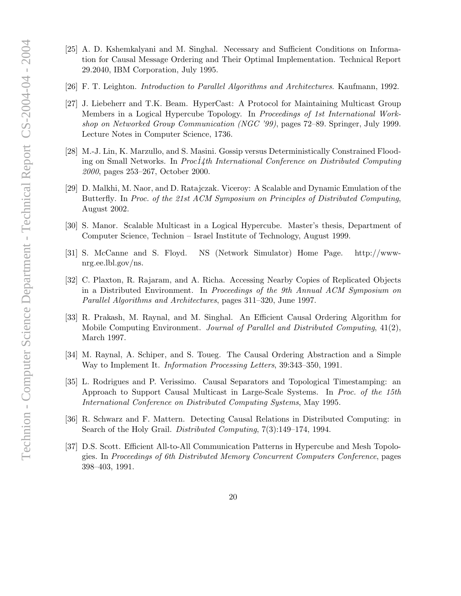- [25] A. D. Kshemkalyani and M. Singhal. Necessary and Sufficient Conditions on Information for Causal Message Ordering and Their Optimal Implementation. Technical Report 29.2040, IBM Corporation, July 1995.
- [26] F. T. Leighton. Introduction to Parallel Algorithms and Architectures. Kaufmann, 1992.
- [27] J. Liebeherr and T.K. Beam. HyperCast: A Protocol for Maintaining Multicast Group Members in a Logical Hypercube Topology. In Proceedings of 1st International Workshop on Networked Group Communication (NGC '99), pages 72–89. Springer, July 1999. Lecture Notes in Computer Science, 1736.
- [28] M.-J. Lin, K. Marzullo, and S. Masini. Gossip versus Deterministically Constrained Flooding on Small Networks. In  $Proc14th International Conference$  on Distributed Computing 2000, pages 253–267, October 2000.
- [29] D. Malkhi, M. Naor, and D. Ratajczak. Viceroy: A Scalable and Dynamic Emulation of the Butterfly. In Proc. of the 21st ACM Symposium on Principles of Distributed Computing, August 2002.
- [30] S. Manor. Scalable Multicast in a Logical Hypercube. Master's thesis, Department of Computer Science, Technion – Israel Institute of Technology, August 1999.
- [31] S. McCanne and S. Floyd. NS (Network Simulator) Home Page. http://wwwnrg.ee.lbl.gov/ns.
- [32] C. Plaxton, R. Rajaram, and A. Richa. Accessing Nearby Copies of Replicated Objects in a Distributed Environment. In Proceedings of the 9th Annual ACM Symposium on Parallel Algorithms and Architectures, pages 311–320, June 1997.
- [33] R. Prakash, M. Raynal, and M. Singhal. An Efficient Causal Ordering Algorithm for Mobile Computing Environment. Journal of Parallel and Distributed Computing, 41(2), March 1997.
- [34] M. Raynal, A. Schiper, and S. Toueg. The Causal Ordering Abstraction and a Simple Way to Implement It. Information Processing Letters, 39:343–350, 1991.
- [35] L. Rodrigues and P. Verissimo. Causal Separators and Topological Timestamping: an Approach to Support Causal Multicast in Large-Scale Systems. In Proc. of the 15th International Conference on Distributed Computing Systems, May 1995.
- [36] R. Schwarz and F. Mattern. Detecting Causal Relations in Distributed Computing: in Search of the Holy Grail. Distributed Computing, 7(3):149–174, 1994.
- [37] D.S. Scott. Efficient All-to-All Communication Patterns in Hypercube and Mesh Topologies. In Proceedings of 6th Distributed Memory Concurrent Computers Conference, pages 398–403, 1991.